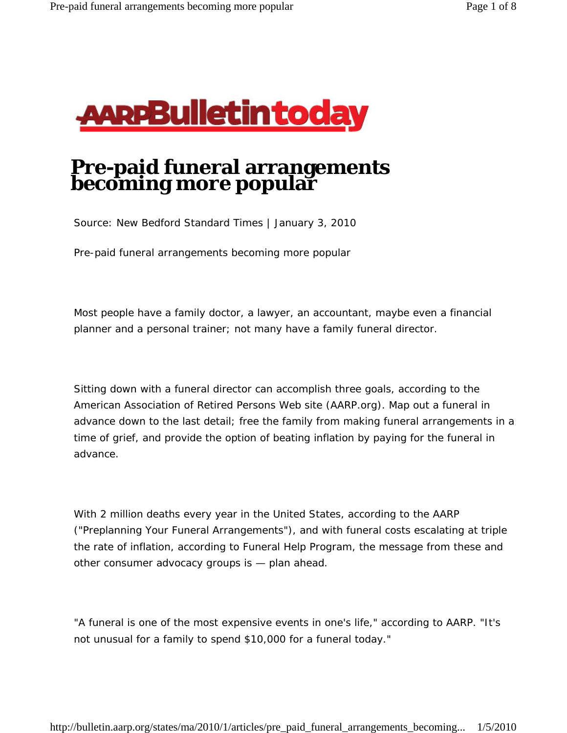

## **Pre-paid funeral arrangements becoming more popular**

Source: New Bedford Standard Times | January 3, 2010

Pre-paid funeral arrangements becoming more popular

Most people have a family doctor, a lawyer, an accountant, maybe even a financial planner and a personal trainer; not many have a family funeral director.

Sitting down with a funeral director can accomplish three goals, according to the American Association of Retired Persons Web site (AARP.org). Map out a funeral in advance down to the last detail; free the family from making funeral arrangements in a time of grief, and provide the option of beating inflation by paying for the funeral in advance.

With 2 million deaths every year in the United States, according to the AARP ("Preplanning Your Funeral Arrangements"), and with funeral costs escalating at triple the rate of inflation, according to Funeral Help Program, the message from these and other consumer advocacy groups is — plan ahead.

"A funeral is one of the most expensive events in one's life," according to AARP. "It's not unusual for a family to spend \$10,000 for a funeral today."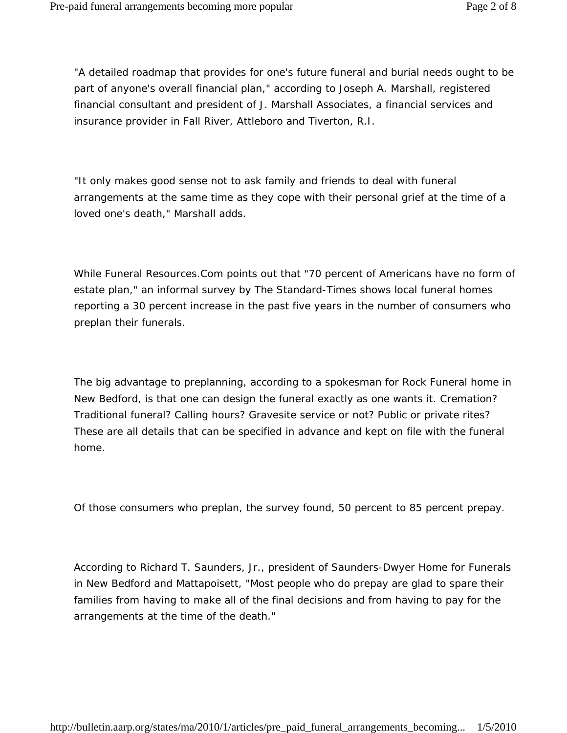"A detailed roadmap that provides for one's future funeral and burial needs ought to be part of anyone's overall financial plan," according to Joseph A. Marshall, registered financial consultant and president of J. Marshall Associates, a financial services and insurance provider in Fall River, Attleboro and Tiverton, R.I.

"It only makes good sense not to ask family and friends to deal with funeral arrangements at the same time as they cope with their personal grief at the time of a loved one's death," Marshall adds.

While Funeral Resources.Com points out that "70 percent of Americans have no form of estate plan," an informal survey by The Standard-Times shows local funeral homes reporting a 30 percent increase in the past five years in the number of consumers who preplan their funerals.

The big advantage to preplanning, according to a spokesman for Rock Funeral home in New Bedford, is that one can design the funeral exactly as one wants it. Cremation? Traditional funeral? Calling hours? Gravesite service or not? Public or private rites? These are all details that can be specified in advance and kept on file with the funeral home.

Of those consumers who preplan, the survey found, 50 percent to 85 percent prepay.

According to Richard T. Saunders, Jr., president of Saunders-Dwyer Home for Funerals in New Bedford and Mattapoisett, "Most people who do prepay are glad to spare their families from having to make all of the final decisions and from having to pay for the arrangements at the time of the death."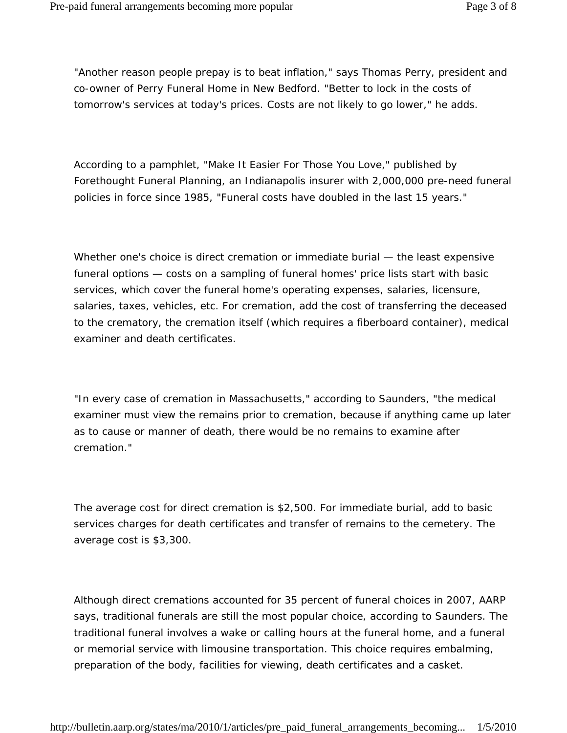"Another reason people prepay is to beat inflation," says Thomas Perry, president and co-owner of Perry Funeral Home in New Bedford. "Better to lock in the costs of tomorrow's services at today's prices. Costs are not likely to go lower," he adds.

According to a pamphlet, "Make It Easier For Those You Love," published by Forethought Funeral Planning, an Indianapolis insurer with 2,000,000 pre-need funeral policies in force since 1985, "Funeral costs have doubled in the last 15 years."

Whether one's choice is direct cremation or immediate burial — the least expensive funeral options — costs on a sampling of funeral homes' price lists start with basic services, which cover the funeral home's operating expenses, salaries, licensure, salaries, taxes, vehicles, etc. For cremation, add the cost of transferring the deceased to the crematory, the cremation itself (which requires a fiberboard container), medical examiner and death certificates.

"In every case of cremation in Massachusetts," according to Saunders, "the medical examiner must view the remains prior to cremation, because if anything came up later as to cause or manner of death, there would be no remains to examine after cremation."

The average cost for direct cremation is \$2,500. For immediate burial, add to basic services charges for death certificates and transfer of remains to the cemetery. The average cost is \$3,300.

Although direct cremations accounted for 35 percent of funeral choices in 2007, AARP says, traditional funerals are still the most popular choice, according to Saunders. The traditional funeral involves a wake or calling hours at the funeral home, and a funeral or memorial service with limousine transportation. This choice requires embalming, preparation of the body, facilities for viewing, death certificates and a casket.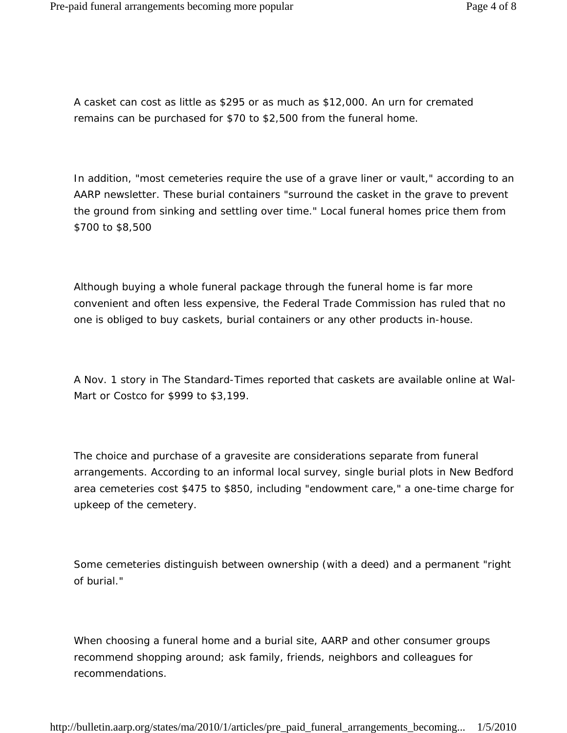A casket can cost as little as \$295 or as much as \$12,000. An urn for cremated remains can be purchased for \$70 to \$2,500 from the funeral home.

In addition, "most cemeteries require the use of a grave liner or vault," according to an AARP newsletter. These burial containers "surround the casket in the grave to prevent the ground from sinking and settling over time." Local funeral homes price them from \$700 to \$8,500

Although buying a whole funeral package through the funeral home is far more convenient and often less expensive, the Federal Trade Commission has ruled that no one is obliged to buy caskets, burial containers or any other products in-house.

A Nov. 1 story in The Standard-Times reported that caskets are available online at Wal-Mart or Costco for \$999 to \$3,199.

The choice and purchase of a gravesite are considerations separate from funeral arrangements. According to an informal local survey, single burial plots in New Bedford area cemeteries cost \$475 to \$850, including "endowment care," a one-time charge for upkeep of the cemetery.

Some cemeteries distinguish between ownership (with a deed) and a permanent "right of burial."

When choosing a funeral home and a burial site, AARP and other consumer groups recommend shopping around; ask family, friends, neighbors and colleagues for recommendations.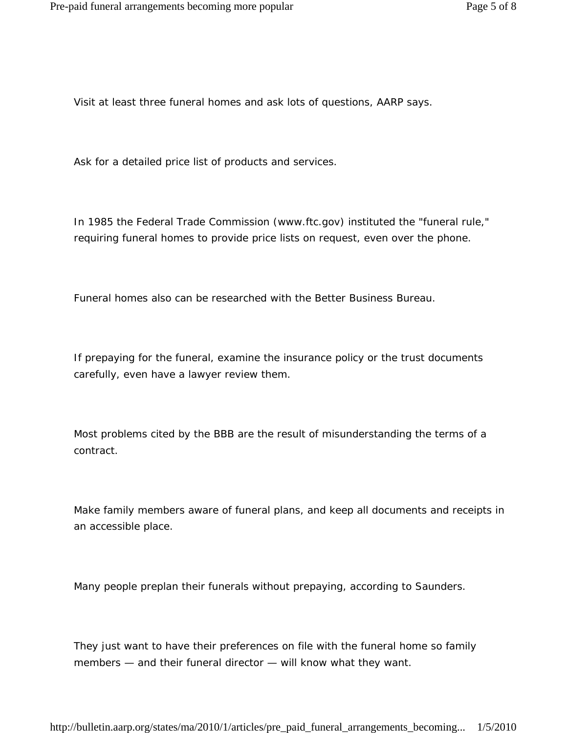Visit at least three funeral homes and ask lots of questions, AARP says.

Ask for a detailed price list of products and services.

In 1985 the Federal Trade Commission (www.ftc.gov) instituted the "funeral rule," requiring funeral homes to provide price lists on request, even over the phone.

Funeral homes also can be researched with the Better Business Bureau.

If prepaying for the funeral, examine the insurance policy or the trust documents carefully, even have a lawyer review them.

Most problems cited by the BBB are the result of misunderstanding the terms of a contract.

Make family members aware of funeral plans, and keep all documents and receipts in an accessible place.

Many people preplan their funerals without prepaying, according to Saunders.

They just want to have their preferences on file with the funeral home so family members — and their funeral director — will know what they want.

http://bulletin.aarp.org/states/ma/2010/1/articles/pre\_paid\_funeral\_arrangements\_becoming... 1/5/2010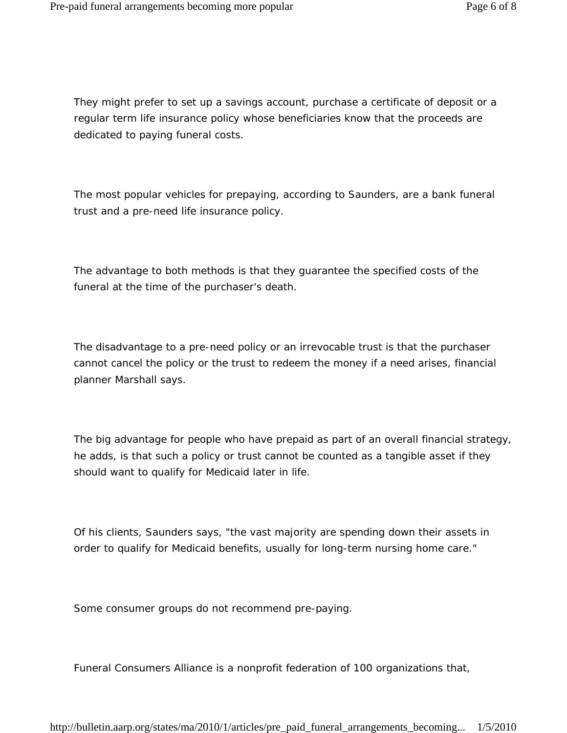They might prefer to set up a savings account, purchase a certificate of deposit or a regular term life insurance policy whose beneficiaries know that the proceeds are dedicated to paying funeral costs.

The most popular vehicles for prepaying, according to Saunders, are a bank funeral trust and a pre-need life insurance policy.

The advantage to both methods is that they guarantee the specified costs of the funeral at the time of the purchaser's death.

The disadvantage to a pre-need policy or an irrevocable trust is that the purchaser cannot cancel the policy or the trust to redeem the money if a need arises, financial planner Marshall says.

The big advantage for people who have prepaid as part of an overall financial strategy, he adds, is that such a policy or trust cannot be counted as a tangible asset if they should want to qualify for Medicaid later in life.

Of his clients, Saunders says, "the vast majority are spending down their assets in order to qualify for Medicaid benefits, usually for long-term nursing home care."

Some consumer groups do not recommend pre-paying.

Funeral Consumers Alliance is a nonprofit federation of 100 organizations that,